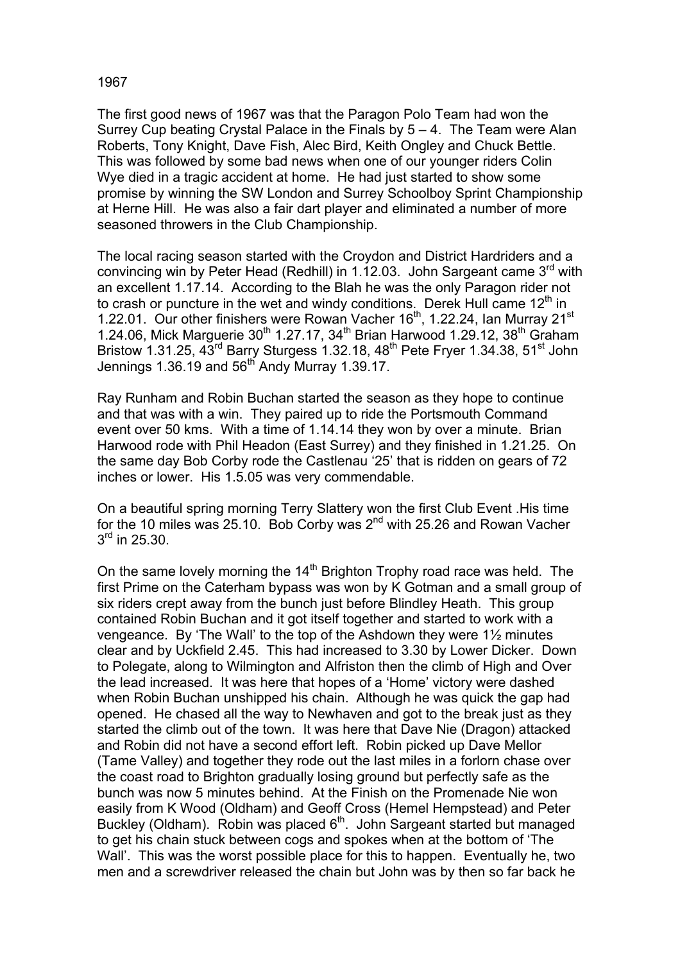## 1967

The first good news of 1967 was that the Paragon Polo Team had won the Surrey Cup beating Crystal Palace in the Finals by 5 – 4. The Team were Alan Roberts, Tony Knight, Dave Fish, Alec Bird, Keith Ongley and Chuck Bettle. This was followed by some bad news when one of our younger riders Colin Wye died in a tragic accident at home. He had just started to show some promise by winning the SW London and Surrey Schoolboy Sprint Championship at Herne Hill. He was also a fair dart player and eliminated a number of more seasoned throwers in the Club Championship.

The local racing season started with the Croydon and District Hardriders and a convincing win by Peter Head (Redhill) in 1.12.03. John Sargeant came  $3<sup>rd</sup>$  with an excellent 1.17.14. According to the Blah he was the only Paragon rider not to crash or puncture in the wet and windy conditions. Derek Hull came  $12<sup>th</sup>$  in 1.22.01. Our other finishers were Rowan Vacher 16<sup>th</sup>, 1.22.24, Ian Murray 21<sup>st</sup> 1.24.06, Mick Marguerie  $30^{th}$  1.27.17, 34<sup>th</sup> Brian Harwood 1.29.12, 38<sup>th</sup> Graham Bristow 1.31.25,  $43^{\text{rd}}$  Barry Sturgess 1.32.18,  $48^{\text{th}}$  Pete Fryer 1.34.38, 51<sup>st</sup> John Jennings 1.36.19 and  $56<sup>th</sup>$  Andy Murray 1.39.17.

Ray Runham and Robin Buchan started the season as they hope to continue and that was with a win. They paired up to ride the Portsmouth Command event over 50 kms. With a time of 1.14.14 they won by over a minute. Brian Harwood rode with Phil Headon (East Surrey) and they finished in 1.21.25. On the same day Bob Corby rode the Castlenau '25' that is ridden on gears of 72 inches or lower. His 1.5.05 was very commendable.

On a beautiful spring morning Terry Slattery won the first Club Event .His time for the 10 miles was 25.10. Bob Corby was 2nd with 25.26 and Rowan Vacher 3<sup>rd</sup> in 25.30.

On the same lovely morning the 14<sup>th</sup> Brighton Trophy road race was held. The first Prime on the Caterham bypass was won by K Gotman and a small group of six riders crept away from the bunch just before Blindley Heath. This group contained Robin Buchan and it got itself together and started to work with a vengeance. By 'The Wall' to the top of the Ashdown they were 1½ minutes clear and by Uckfield 2.45. This had increased to 3.30 by Lower Dicker. Down to Polegate, along to Wilmington and Alfriston then the climb of High and Over the lead increased. It was here that hopes of a 'Home' victory were dashed when Robin Buchan unshipped his chain. Although he was quick the gap had opened. He chased all the way to Newhaven and got to the break just as they started the climb out of the town. It was here that Dave Nie (Dragon) attacked and Robin did not have a second effort left. Robin picked up Dave Mellor (Tame Valley) and together they rode out the last miles in a forlorn chase over the coast road to Brighton gradually losing ground but perfectly safe as the bunch was now 5 minutes behind. At the Finish on the Promenade Nie won easily from K Wood (Oldham) and Geoff Cross (Hemel Hempstead) and Peter Buckley (Oldham). Robin was placed  $6<sup>th</sup>$ . John Sargeant started but managed to get his chain stuck between cogs and spokes when at the bottom of 'The Wall'. This was the worst possible place for this to happen. Eventually he, two men and a screwdriver released the chain but John was by then so far back he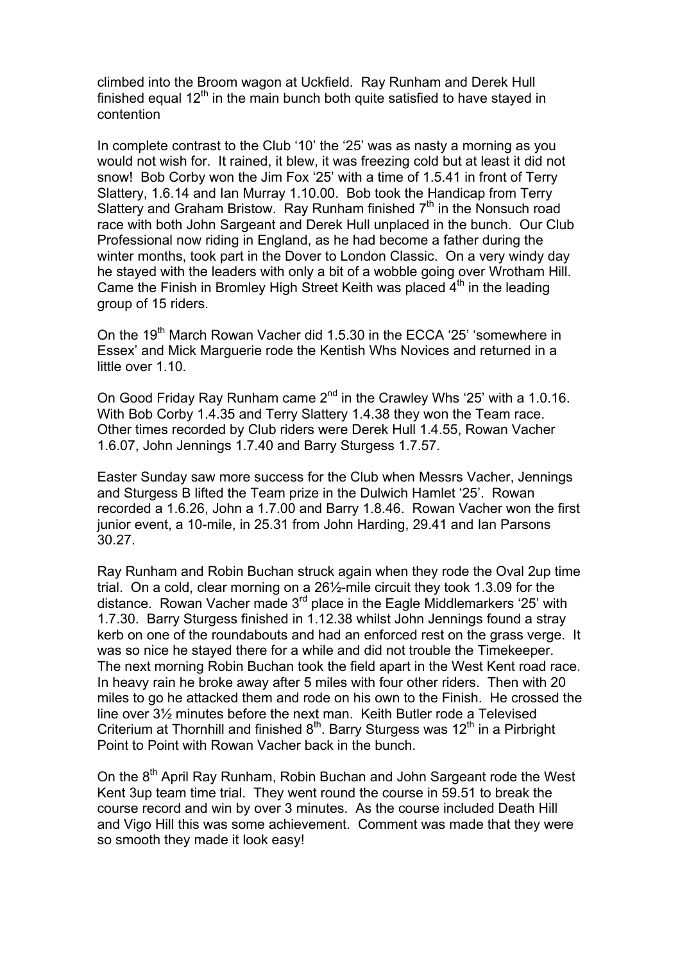climbed into the Broom wagon at Uckfield. Ray Runham and Derek Hull finished equal  $12<sup>th</sup>$  in the main bunch both quite satisfied to have stayed in contention

In complete contrast to the Club '10' the '25' was as nasty a morning as you would not wish for. It rained, it blew, it was freezing cold but at least it did not snow! Bob Corby won the Jim Fox '25' with a time of 1.5.41 in front of Terry Slattery, 1.6.14 and Ian Murray 1.10.00. Bob took the Handicap from Terry Slattery and Graham Bristow. Ray Runham finished  $7<sup>th</sup>$  in the Nonsuch road race with both John Sargeant and Derek Hull unplaced in the bunch. Our Club Professional now riding in England, as he had become a father during the winter months, took part in the Dover to London Classic. On a very windy day he stayed with the leaders with only a bit of a wobble going over Wrotham Hill. Came the Finish in Bromley High Street Keith was placed  $4<sup>th</sup>$  in the leading group of 15 riders.

On the 19<sup>th</sup> March Rowan Vacher did 1.5.30 in the ECCA '25' 'somewhere in Essex' and Mick Marguerie rode the Kentish Whs Novices and returned in a little over 1.10.

On Good Friday Ray Runham came 2<sup>nd</sup> in the Crawley Whs '25' with a 1.0.16. With Bob Corby 1.4.35 and Terry Slattery 1.4.38 they won the Team race. Other times recorded by Club riders were Derek Hull 1.4.55, Rowan Vacher 1.6.07, John Jennings 1.7.40 and Barry Sturgess 1.7.57.

Easter Sunday saw more success for the Club when Messrs Vacher, Jennings and Sturgess B lifted the Team prize in the Dulwich Hamlet '25'. Rowan recorded a 1.6.26, John a 1.7.00 and Barry 1.8.46. Rowan Vacher won the first junior event, a 10-mile, in 25.31 from John Harding, 29.41 and Ian Parsons 30.27.

Ray Runham and Robin Buchan struck again when they rode the Oval 2up time trial. On a cold, clear morning on a 26½-mile circuit they took 1.3.09 for the distance. Rowan Vacher made 3rd place in the Eagle Middlemarkers '25' with 1.7.30. Barry Sturgess finished in 1.12.38 whilst John Jennings found a stray kerb on one of the roundabouts and had an enforced rest on the grass verge. It was so nice he stayed there for a while and did not trouble the Timekeeper. The next morning Robin Buchan took the field apart in the West Kent road race. In heavy rain he broke away after 5 miles with four other riders. Then with 20 miles to go he attacked them and rode on his own to the Finish. He crossed the line over 3½ minutes before the next man. Keith Butler rode a Televised Criterium at Thornhill and finished  $8<sup>th</sup>$ . Barry Sturgess was 12<sup>th</sup> in a Pirbright Point to Point with Rowan Vacher back in the bunch.

On the 8<sup>th</sup> April Ray Runham, Robin Buchan and John Sargeant rode the West Kent 3up team time trial. They went round the course in 59.51 to break the course record and win by over 3 minutes. As the course included Death Hill and Vigo Hill this was some achievement. Comment was made that they were so smooth they made it look easy!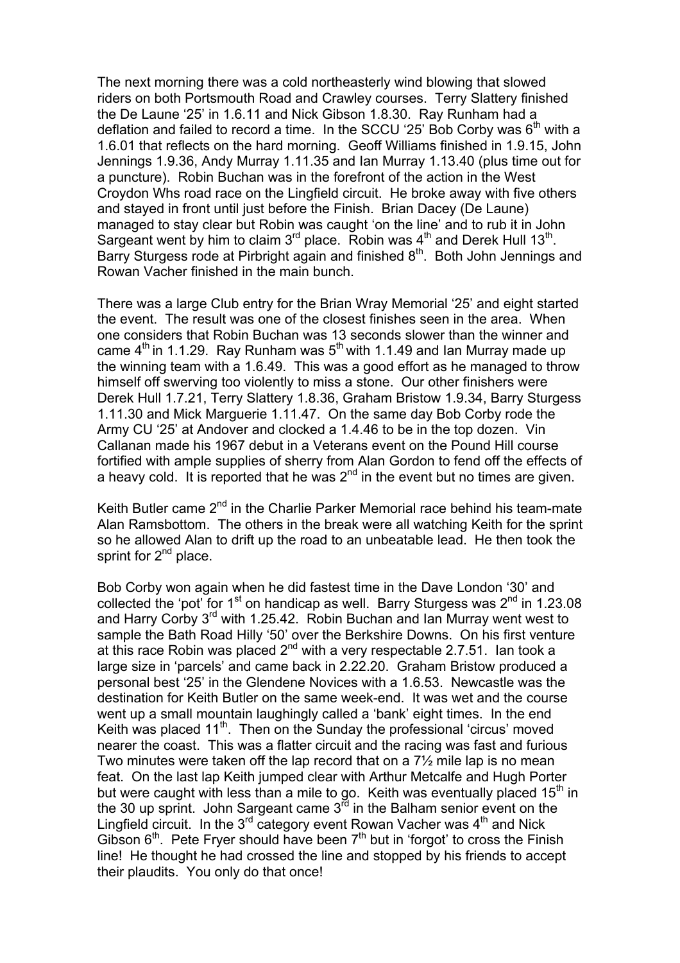The next morning there was a cold northeasterly wind blowing that slowed riders on both Portsmouth Road and Crawley courses. Terry Slattery finished the De Laune '25' in 1.6.11 and Nick Gibson 1.8.30. Ray Runham had a deflation and failed to record a time. In the SCCU '25' Bob Corby was  $6<sup>th</sup>$  with a 1.6.01 that reflects on the hard morning. Geoff Williams finished in 1.9.15, John Jennings 1.9.36, Andy Murray 1.11.35 and Ian Murray 1.13.40 (plus time out for a puncture). Robin Buchan was in the forefront of the action in the West Croydon Whs road race on the Lingfield circuit. He broke away with five others and stayed in front until just before the Finish. Brian Dacey (De Laune) managed to stay clear but Robin was caught 'on the line' and to rub it in John Sargeant went by him to claim  $3^{rd}$  place. Robin was  $4^{th}$  and Derek Hull 13<sup>th</sup>. Barry Sturgess rode at Pirbright again and finished  $8<sup>th</sup>$ . Both John Jennings and Rowan Vacher finished in the main bunch.

There was a large Club entry for the Brian Wray Memorial '25' and eight started the event. The result was one of the closest finishes seen in the area. When one considers that Robin Buchan was 13 seconds slower than the winner and came  $4<sup>th</sup>$  in 1.1.29. Ray Runham was  $5<sup>th</sup>$  with 1.1.49 and Ian Murray made up the winning team with a 1.6.49. This was a good effort as he managed to throw himself off swerving too violently to miss a stone. Our other finishers were Derek Hull 1.7.21, Terry Slattery 1.8.36, Graham Bristow 1.9.34, Barry Sturgess 1.11.30 and Mick Marguerie 1.11.47. On the same day Bob Corby rode the Army CU '25' at Andover and clocked a 1.4.46 to be in the top dozen. Vin Callanan made his 1967 debut in a Veterans event on the Pound Hill course fortified with ample supplies of sherry from Alan Gordon to fend off the effects of a heavy cold. It is reported that he was  $2<sup>nd</sup>$  in the event but no times are given.

Keith Butler came 2<sup>nd</sup> in the Charlie Parker Memorial race behind his team-mate Alan Ramsbottom. The others in the break were all watching Keith for the sprint so he allowed Alan to drift up the road to an unbeatable lead. He then took the sprint for  $2^{nd}$  place.

Bob Corby won again when he did fastest time in the Dave London '30' and collected the 'pot' for  $1<sup>st</sup>$  on handicap as well. Barry Sturgess was  $2<sup>nd</sup>$  in 1.23.08 and Harry Corby  $3^{rd}$  with 1.25.42. Robin Buchan and Ian Murray went west to sample the Bath Road Hilly '50' over the Berkshire Downs. On his first venture at this race Robin was placed  $2^{nd}$  with a very respectable 2.7.51. Ian took a large size in 'parcels' and came back in 2.22.20. Graham Bristow produced a personal best '25' in the Glendene Novices with a 1.6.53. Newcastle was the destination for Keith Butler on the same week-end. It was wet and the course went up a small mountain laughingly called a 'bank' eight times. In the end Keith was placed  $11<sup>th</sup>$ . Then on the Sunday the professional 'circus' moved nearer the coast. This was a flatter circuit and the racing was fast and furious Two minutes were taken off the lap record that on a 7½ mile lap is no mean feat. On the last lap Keith jumped clear with Arthur Metcalfe and Hugh Porter but were caught with less than a mile to go. Keith was eventually placed  $15<sup>th</sup>$  in the 30 up sprint. John Sargeant came  $3^{\overline{r}d}$  in the Balham senior event on the Lingfield circuit. In the  $3^{rd}$  category event Rowan Vacher was  $4^{th}$  and Nick Gibson  $6<sup>th</sup>$ . Pete Fryer should have been  $7<sup>th</sup>$  but in 'forgot' to cross the Finish line! He thought he had crossed the line and stopped by his friends to accept their plaudits. You only do that once!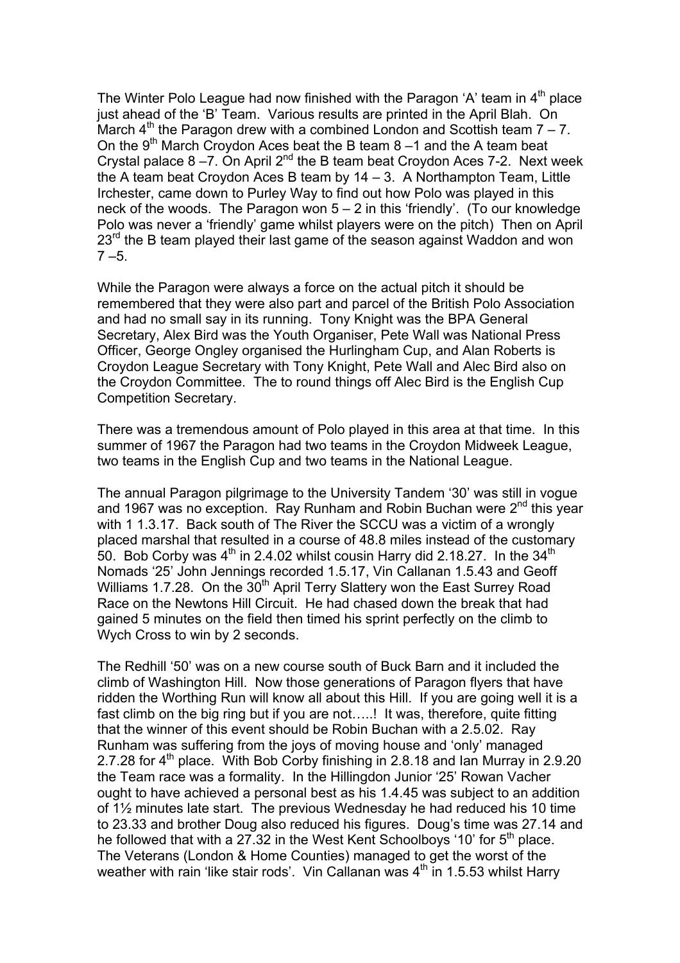The Winter Polo League had now finished with the Paragon 'A' team in  $4<sup>th</sup>$  place just ahead of the 'B' Team. Various results are printed in the April Blah. On March  $4<sup>th</sup>$  the Paragon drew with a combined London and Scottish team  $7 - 7$ . On the  $9<sup>th</sup>$  March Croydon Aces beat the B team 8 –1 and the A team beat Crystal palace  $8 - 7$ . On April  $2^{nd}$  the B team beat Croydon Aces 7-2. Next week the A team beat Croydon Aces B team by  $14 - 3$ . A Northampton Team, Little Irchester, came down to Purley Way to find out how Polo was played in this neck of the woods. The Paragon won 5 – 2 in this 'friendly'. (To our knowledge Polo was never a 'friendly' game whilst players were on the pitch) Then on April 23<sup>rd</sup> the B team played their last game of the season against Waddon and won  $7 - 5.$ 

While the Paragon were always a force on the actual pitch it should be remembered that they were also part and parcel of the British Polo Association and had no small say in its running. Tony Knight was the BPA General Secretary, Alex Bird was the Youth Organiser, Pete Wall was National Press Officer, George Ongley organised the Hurlingham Cup, and Alan Roberts is Croydon League Secretary with Tony Knight, Pete Wall and Alec Bird also on the Croydon Committee. The to round things off Alec Bird is the English Cup Competition Secretary.

There was a tremendous amount of Polo played in this area at that time. In this summer of 1967 the Paragon had two teams in the Croydon Midweek League, two teams in the English Cup and two teams in the National League.

The annual Paragon pilgrimage to the University Tandem '30' was still in vogue and 1967 was no exception. Ray Runham and Robin Buchan were 2<sup>nd</sup> this year with 1 1.3.17. Back south of The River the SCCU was a victim of a wrongly placed marshal that resulted in a course of 48.8 miles instead of the customary 50. Bob Corby was  $4<sup>th</sup>$  in 2.4.02 whilst cousin Harry did 2.18.27. In the 34<sup>th</sup> Nomads '25' John Jennings recorded 1.5.17, Vin Callanan 1.5.43 and Geoff Williams 1.7.28. On the 30<sup>th</sup> April Terry Slattery won the East Surrey Road Race on the Newtons Hill Circuit. He had chased down the break that had gained 5 minutes on the field then timed his sprint perfectly on the climb to Wych Cross to win by 2 seconds.

The Redhill '50' was on a new course south of Buck Barn and it included the climb of Washington Hill. Now those generations of Paragon flyers that have ridden the Worthing Run will know all about this Hill. If you are going well it is a fast climb on the big ring but if you are not…..! It was, therefore, quite fitting that the winner of this event should be Robin Buchan with a 2.5.02. Ray Runham was suffering from the joys of moving house and 'only' managed 2.7.28 for 4<sup>th</sup> place. With Bob Corby finishing in 2.8.18 and Ian Murray in 2.9.20 the Team race was a formality. In the Hillingdon Junior '25' Rowan Vacher ought to have achieved a personal best as his 1.4.45 was subject to an addition of 1½ minutes late start. The previous Wednesday he had reduced his 10 time to 23.33 and brother Doug also reduced his figures. Doug's time was 27.14 and he followed that with a 27.32 in the West Kent Schoolboys '10' for  $5<sup>th</sup>$  place. The Veterans (London & Home Counties) managed to get the worst of the weather with rain 'like stair rods'. Vin Callanan was  $4<sup>th</sup>$  in 1.5.53 whilst Harry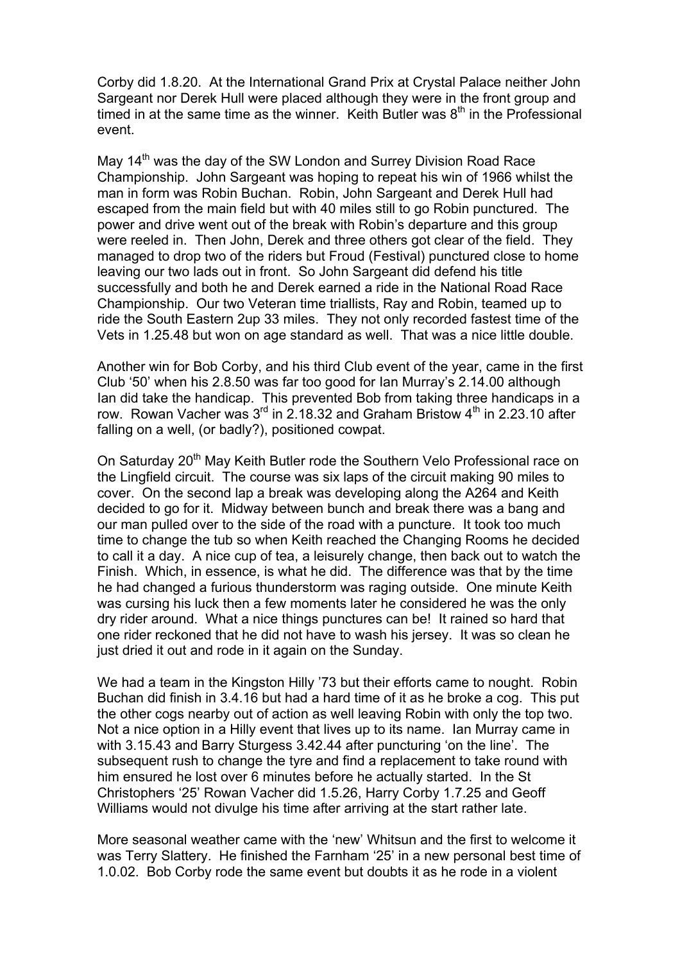Corby did 1.8.20. At the International Grand Prix at Crystal Palace neither John Sargeant nor Derek Hull were placed although they were in the front group and timed in at the same time as the winner. Keith Butler was  $8<sup>th</sup>$  in the Professional event.

May 14<sup>th</sup> was the day of the SW London and Surrey Division Road Race Championship. John Sargeant was hoping to repeat his win of 1966 whilst the man in form was Robin Buchan. Robin, John Sargeant and Derek Hull had escaped from the main field but with 40 miles still to go Robin punctured. The power and drive went out of the break with Robin's departure and this group were reeled in. Then John, Derek and three others got clear of the field. They managed to drop two of the riders but Froud (Festival) punctured close to home leaving our two lads out in front. So John Sargeant did defend his title successfully and both he and Derek earned a ride in the National Road Race Championship. Our two Veteran time triallists, Ray and Robin, teamed up to ride the South Eastern 2up 33 miles. They not only recorded fastest time of the Vets in 1.25.48 but won on age standard as well. That was a nice little double.

Another win for Bob Corby, and his third Club event of the year, came in the first Club '50' when his 2.8.50 was far too good for Ian Murray's 2.14.00 although Ian did take the handicap. This prevented Bob from taking three handicaps in a row. Rowan Vacher was  $3<sup>rd</sup>$  in 2.18.32 and Graham Bristow  $4<sup>th</sup>$  in 2.23.10 after falling on a well, (or badly?), positioned cowpat.

On Saturday 20<sup>th</sup> May Keith Butler rode the Southern Velo Professional race on the Lingfield circuit. The course was six laps of the circuit making 90 miles to cover. On the second lap a break was developing along the A264 and Keith decided to go for it. Midway between bunch and break there was a bang and our man pulled over to the side of the road with a puncture. It took too much time to change the tub so when Keith reached the Changing Rooms he decided to call it a day. A nice cup of tea, a leisurely change, then back out to watch the Finish. Which, in essence, is what he did. The difference was that by the time he had changed a furious thunderstorm was raging outside. One minute Keith was cursing his luck then a few moments later he considered he was the only dry rider around. What a nice things punctures can be! It rained so hard that one rider reckoned that he did not have to wash his jersey. It was so clean he just dried it out and rode in it again on the Sunday.

We had a team in the Kingston Hilly '73 but their efforts came to nought. Robin Buchan did finish in 3.4.16 but had a hard time of it as he broke a cog. This put the other cogs nearby out of action as well leaving Robin with only the top two. Not a nice option in a Hilly event that lives up to its name. Ian Murray came in with 3.15.43 and Barry Sturgess 3.42.44 after puncturing 'on the line'. The subsequent rush to change the tyre and find a replacement to take round with him ensured he lost over 6 minutes before he actually started. In the St Christophers '25' Rowan Vacher did 1.5.26, Harry Corby 1.7.25 and Geoff Williams would not divulge his time after arriving at the start rather late.

More seasonal weather came with the 'new' Whitsun and the first to welcome it was Terry Slattery. He finished the Farnham '25' in a new personal best time of 1.0.02. Bob Corby rode the same event but doubts it as he rode in a violent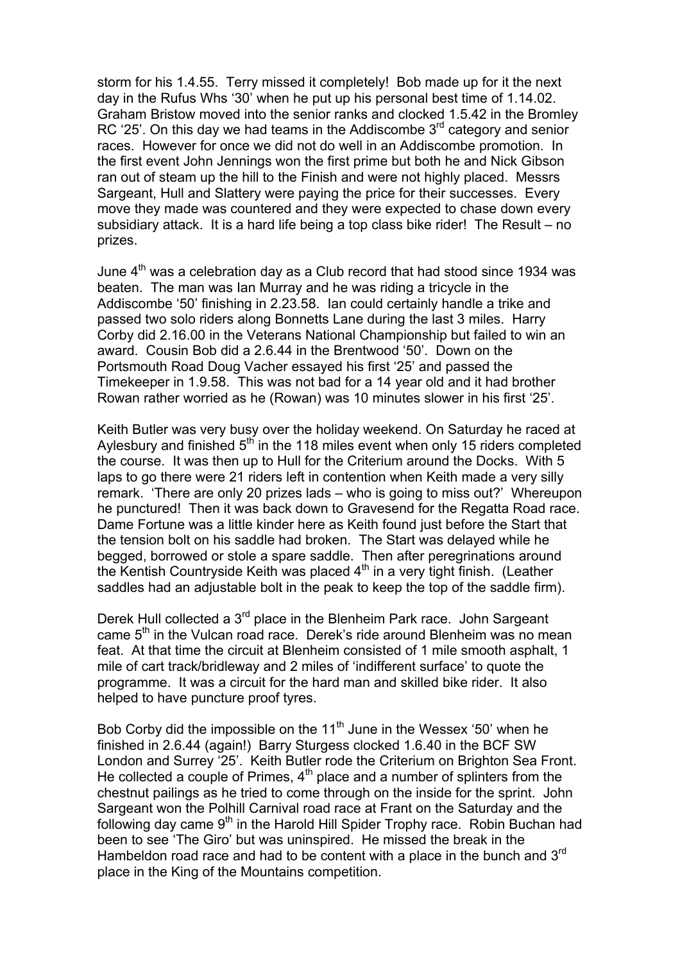storm for his 1.4.55. Terry missed it completely! Bob made up for it the next day in the Rufus Whs '30' when he put up his personal best time of 1.14.02. Graham Bristow moved into the senior ranks and clocked 1.5.42 in the Bromley RC '25'. On this day we had teams in the Addiscombe  $3<sup>rd</sup>$  category and senior races. However for once we did not do well in an Addiscombe promotion. In the first event John Jennings won the first prime but both he and Nick Gibson ran out of steam up the hill to the Finish and were not highly placed. Messrs Sargeant, Hull and Slattery were paying the price for their successes. Every move they made was countered and they were expected to chase down every subsidiary attack. It is a hard life being a top class bike rider! The Result – no prizes.

June  $4<sup>th</sup>$  was a celebration day as a Club record that had stood since 1934 was beaten. The man was Ian Murray and he was riding a tricycle in the Addiscombe '50' finishing in 2.23.58. Ian could certainly handle a trike and passed two solo riders along Bonnetts Lane during the last 3 miles. Harry Corby did 2.16.00 in the Veterans National Championship but failed to win an award. Cousin Bob did a 2.6.44 in the Brentwood '50'. Down on the Portsmouth Road Doug Vacher essayed his first '25' and passed the Timekeeper in 1.9.58. This was not bad for a 14 year old and it had brother Rowan rather worried as he (Rowan) was 10 minutes slower in his first '25'.

Keith Butler was very busy over the holiday weekend. On Saturday he raced at Aylesbury and finished  $5<sup>th</sup>$  in the 118 miles event when only 15 riders completed the course. It was then up to Hull for the Criterium around the Docks. With 5 laps to go there were 21 riders left in contention when Keith made a very silly remark. 'There are only 20 prizes lads – who is going to miss out?' Whereupon he punctured! Then it was back down to Gravesend for the Regatta Road race. Dame Fortune was a little kinder here as Keith found just before the Start that the tension bolt on his saddle had broken. The Start was delayed while he begged, borrowed or stole a spare saddle. Then after peregrinations around the Kentish Countryside Keith was placed  $4<sup>th</sup>$  in a very tight finish. (Leather saddles had an adjustable bolt in the peak to keep the top of the saddle firm).

Derek Hull collected a  $3<sup>rd</sup>$  place in the Blenheim Park race. John Sargeant came  $5<sup>th</sup>$  in the Vulcan road race. Derek's ride around Blenheim was no mean feat. At that time the circuit at Blenheim consisted of 1 mile smooth asphalt, 1 mile of cart track/bridleway and 2 miles of 'indifferent surface' to quote the programme. It was a circuit for the hard man and skilled bike rider. It also helped to have puncture proof tyres.

Bob Corby did the impossible on the  $11<sup>th</sup>$  June in the Wessex '50' when he finished in 2.6.44 (again!) Barry Sturgess clocked 1.6.40 in the BCF SW London and Surrey '25'. Keith Butler rode the Criterium on Brighton Sea Front. He collected a couple of Primes,  $4<sup>th</sup>$  place and a number of splinters from the chestnut pailings as he tried to come through on the inside for the sprint. John Sargeant won the Polhill Carnival road race at Frant on the Saturday and the following day came  $9<sup>th</sup>$  in the Harold Hill Spider Trophy race. Robin Buchan had been to see 'The Giro' but was uninspired. He missed the break in the Hambeldon road race and had to be content with a place in the bunch and  $3<sup>rd</sup>$ place in the King of the Mountains competition.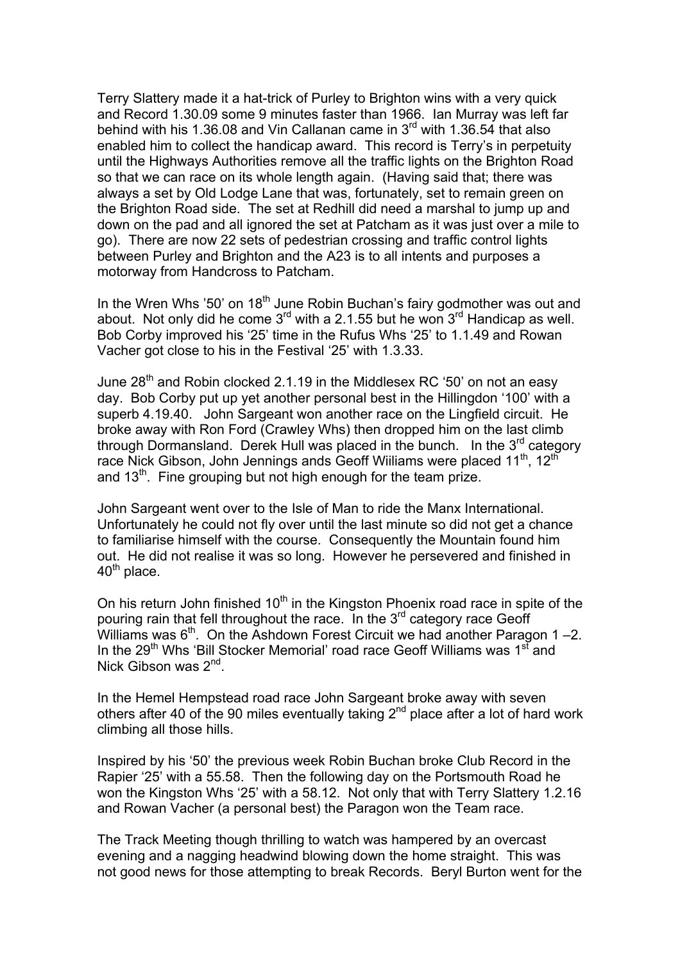Terry Slattery made it a hat-trick of Purley to Brighton wins with a very quick and Record 1.30.09 some 9 minutes faster than 1966. Ian Murray was left far behind with his 1.36.08 and Vin Callanan came in  $3<sup>rd</sup>$  with 1.36.54 that also enabled him to collect the handicap award. This record is Terry's in perpetuity until the Highways Authorities remove all the traffic lights on the Brighton Road so that we can race on its whole length again. (Having said that; there was always a set by Old Lodge Lane that was, fortunately, set to remain green on the Brighton Road side. The set at Redhill did need a marshal to jump up and down on the pad and all ignored the set at Patcham as it was just over a mile to go). There are now 22 sets of pedestrian crossing and traffic control lights between Purley and Brighton and the A23 is to all intents and purposes a motorway from Handcross to Patcham.

In the Wren Whs '50' on 18<sup>th</sup> June Robin Buchan's fairy godmother was out and about. Not only did he come  $3<sup>rd</sup>$  with a 2.1.55 but he won  $3<sup>rd</sup>$  Handicap as well. Bob Corby improved his '25' time in the Rufus Whs '25' to 1.1.49 and Rowan Vacher got close to his in the Festival '25' with 1.3.33.

June  $28<sup>th</sup>$  and Robin clocked 2.1.19 in the Middlesex RC '50' on not an easy day. Bob Corby put up yet another personal best in the Hillingdon '100' with a superb 4.19.40. John Sargeant won another race on the Lingfield circuit. He broke away with Ron Ford (Crawley Whs) then dropped him on the last climb through Dormansland. Derek Hull was placed in the bunch. In the  $3^{rd}$  category race Nick Gibson, John Jennings ands Geoff Wiiliams were placed  $11<sup>th</sup>$ , 12<sup>th</sup> and  $13<sup>th</sup>$ . Fine grouping but not high enough for the team prize.

John Sargeant went over to the Isle of Man to ride the Manx International. Unfortunately he could not fly over until the last minute so did not get a chance to familiarise himself with the course. Consequently the Mountain found him out. He did not realise it was so long. However he persevered and finished in  $40<sup>th</sup>$  place.

On his return John finished  $10<sup>th</sup>$  in the Kingston Phoenix road race in spite of the pouring rain that fell throughout the race. In the  $3<sup>rd</sup>$  category race Geoff Williams was  $6<sup>th</sup>$ . On the Ashdown Forest Circuit we had another Paragon 1 –2. In the 29<sup>th</sup> Whs 'Bill Stocker Memorial' road race Geoff Williams was 1<sup>st</sup> and Nick Gibson was 2<sup>nd</sup>.

In the Hemel Hempstead road race John Sargeant broke away with seven others after 40 of the 90 miles eventually taking  $2<sup>nd</sup>$  place after a lot of hard work climbing all those hills.

Inspired by his '50' the previous week Robin Buchan broke Club Record in the Rapier '25' with a 55.58. Then the following day on the Portsmouth Road he won the Kingston Whs '25' with a 58.12. Not only that with Terry Slattery 1.2.16 and Rowan Vacher (a personal best) the Paragon won the Team race.

The Track Meeting though thrilling to watch was hampered by an overcast evening and a nagging headwind blowing down the home straight. This was not good news for those attempting to break Records. Beryl Burton went for the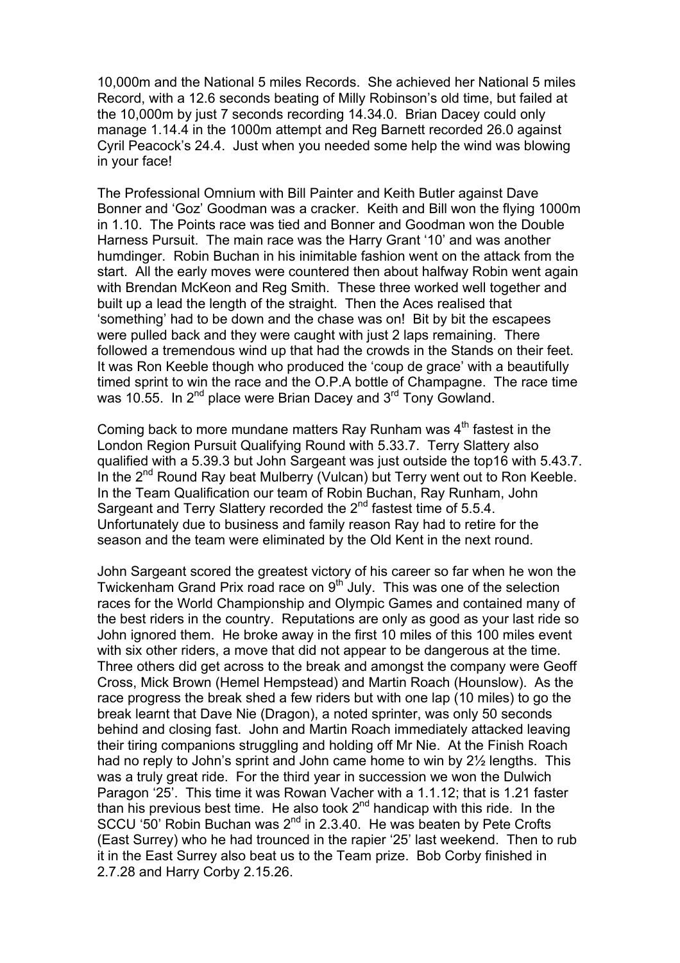10,000m and the National 5 miles Records. She achieved her National 5 miles Record, with a 12.6 seconds beating of Milly Robinson's old time, but failed at the 10,000m by just 7 seconds recording 14.34.0. Brian Dacey could only manage 1.14.4 in the 1000m attempt and Reg Barnett recorded 26.0 against Cyril Peacock's 24.4. Just when you needed some help the wind was blowing in your face!

The Professional Omnium with Bill Painter and Keith Butler against Dave Bonner and 'Goz' Goodman was a cracker. Keith and Bill won the flying 1000m in 1.10. The Points race was tied and Bonner and Goodman won the Double Harness Pursuit. The main race was the Harry Grant '10' and was another humdinger. Robin Buchan in his inimitable fashion went on the attack from the start. All the early moves were countered then about halfway Robin went again with Brendan McKeon and Reg Smith. These three worked well together and built up a lead the length of the straight. Then the Aces realised that 'something' had to be down and the chase was on! Bit by bit the escapees were pulled back and they were caught with just 2 laps remaining. There followed a tremendous wind up that had the crowds in the Stands on their feet. It was Ron Keeble though who produced the 'coup de grace' with a beautifully timed sprint to win the race and the O.P.A bottle of Champagne. The race time was 10.55. In 2<sup>nd</sup> place were Brian Dacey and 3<sup>rd</sup> Tony Gowland.

Coming back to more mundane matters Ray Runham was  $4<sup>th</sup>$  fastest in the London Region Pursuit Qualifying Round with 5.33.7. Terry Slattery also qualified with a 5.39.3 but John Sargeant was just outside the top16 with 5.43.7. In the 2<sup>nd</sup> Round Ray beat Mulberry (Vulcan) but Terry went out to Ron Keeble. In the Team Qualification our team of Robin Buchan, Ray Runham, John Sargeant and Terry Slattery recorded the  $2<sup>nd</sup>$  fastest time of 5.5.4. Unfortunately due to business and family reason Ray had to retire for the season and the team were eliminated by the Old Kent in the next round.

John Sargeant scored the greatest victory of his career so far when he won the Twickenham Grand Prix road race on 9<sup>th July</sup>. This was one of the selection races for the World Championship and Olympic Games and contained many of the best riders in the country. Reputations are only as good as your last ride so John ignored them. He broke away in the first 10 miles of this 100 miles event with six other riders, a move that did not appear to be dangerous at the time. Three others did get across to the break and amongst the company were Geoff Cross, Mick Brown (Hemel Hempstead) and Martin Roach (Hounslow). As the race progress the break shed a few riders but with one lap (10 miles) to go the break learnt that Dave Nie (Dragon), a noted sprinter, was only 50 seconds behind and closing fast. John and Martin Roach immediately attacked leaving their tiring companions struggling and holding off Mr Nie. At the Finish Roach had no reply to John's sprint and John came home to win by 2½ lengths. This was a truly great ride. For the third year in succession we won the Dulwich Paragon '25'. This time it was Rowan Vacher with a 1.1.12; that is 1.21 faster than his previous best time. He also took  $2^{nd}$  handicap with this ride. In the SCCU '50' Robin Buchan was  $2^{nd}$  in 2.3.40. He was beaten by Pete Crofts (East Surrey) who he had trounced in the rapier '25' last weekend. Then to rub it in the East Surrey also beat us to the Team prize. Bob Corby finished in 2.7.28 and Harry Corby 2.15.26.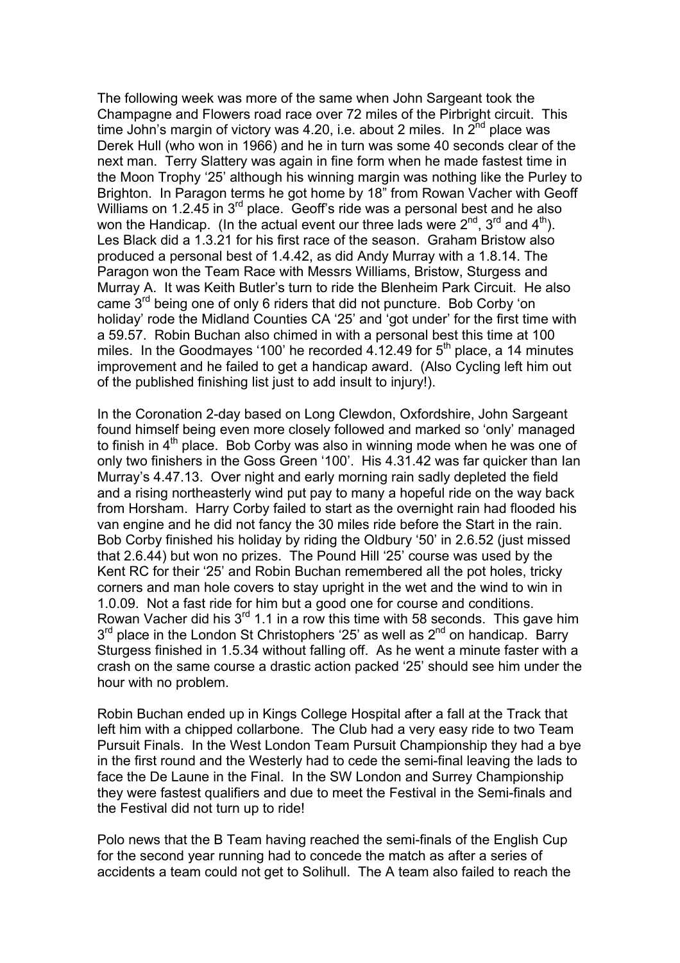The following week was more of the same when John Sargeant took the Champagne and Flowers road race over 72 miles of the Pirbright circuit. This time John's margin of victory was 4.20, i.e. about 2 miles. In  $2^{nd}$  place was Derek Hull (who won in 1966) and he in turn was some 40 seconds clear of the next man. Terry Slattery was again in fine form when he made fastest time in the Moon Trophy '25' although his winning margin was nothing like the Purley to Brighton. In Paragon terms he got home by 18" from Rowan Vacher with Geoff Williams on 1.2.45 in  $3^{rd}$  place. Geoff's ride was a personal best and he also won the Handicap. (In the actual event our three lads were  $2^{nd}$ ,  $3^{rd}$  and  $4^{th}$ ). Les Black did a 1.3.21 for his first race of the season. Graham Bristow also produced a personal best of 1.4.42, as did Andy Murray with a 1.8.14. The Paragon won the Team Race with Messrs Williams, Bristow, Sturgess and Murray A. It was Keith Butler's turn to ride the Blenheim Park Circuit. He also came  $3<sup>rd</sup>$  being one of only 6 riders that did not puncture. Bob Corby 'on holiday' rode the Midland Counties CA '25' and 'got under' for the first time with a 59.57. Robin Buchan also chimed in with a personal best this time at 100 miles. In the Goodmayes '100' he recorded  $4.12.49$  for  $5<sup>th</sup>$  place, a 14 minutes improvement and he failed to get a handicap award. (Also Cycling left him out of the published finishing list just to add insult to injury!).

In the Coronation 2-day based on Long Clewdon, Oxfordshire, John Sargeant found himself being even more closely followed and marked so 'only' managed to finish in  $4<sup>th</sup>$  place. Bob Corby was also in winning mode when he was one of only two finishers in the Goss Green '100'. His 4.31.42 was far quicker than Ian Murray's 4.47.13. Over night and early morning rain sadly depleted the field and a rising northeasterly wind put pay to many a hopeful ride on the way back from Horsham. Harry Corby failed to start as the overnight rain had flooded his van engine and he did not fancy the 30 miles ride before the Start in the rain. Bob Corby finished his holiday by riding the Oldbury '50' in 2.6.52 (just missed that 2.6.44) but won no prizes. The Pound Hill '25' course was used by the Kent RC for their '25' and Robin Buchan remembered all the pot holes, tricky corners and man hole covers to stay upright in the wet and the wind to win in 1.0.09. Not a fast ride for him but a good one for course and conditions. Rowan Vacher did his  $3^{rd}$  1.1 in a row this time with 58 seconds. This gave him  $3<sup>rd</sup>$  place in the London St Christophers '25' as well as  $2<sup>nd</sup>$  on handicap. Barry Sturgess finished in 1.5.34 without falling off. As he went a minute faster with a crash on the same course a drastic action packed '25' should see him under the hour with no problem.

Robin Buchan ended up in Kings College Hospital after a fall at the Track that left him with a chipped collarbone. The Club had a very easy ride to two Team Pursuit Finals. In the West London Team Pursuit Championship they had a bye in the first round and the Westerly had to cede the semi-final leaving the lads to face the De Laune in the Final. In the SW London and Surrey Championship they were fastest qualifiers and due to meet the Festival in the Semi-finals and the Festival did not turn up to ride!

Polo news that the B Team having reached the semi-finals of the English Cup for the second year running had to concede the match as after a series of accidents a team could not get to Solihull. The A team also failed to reach the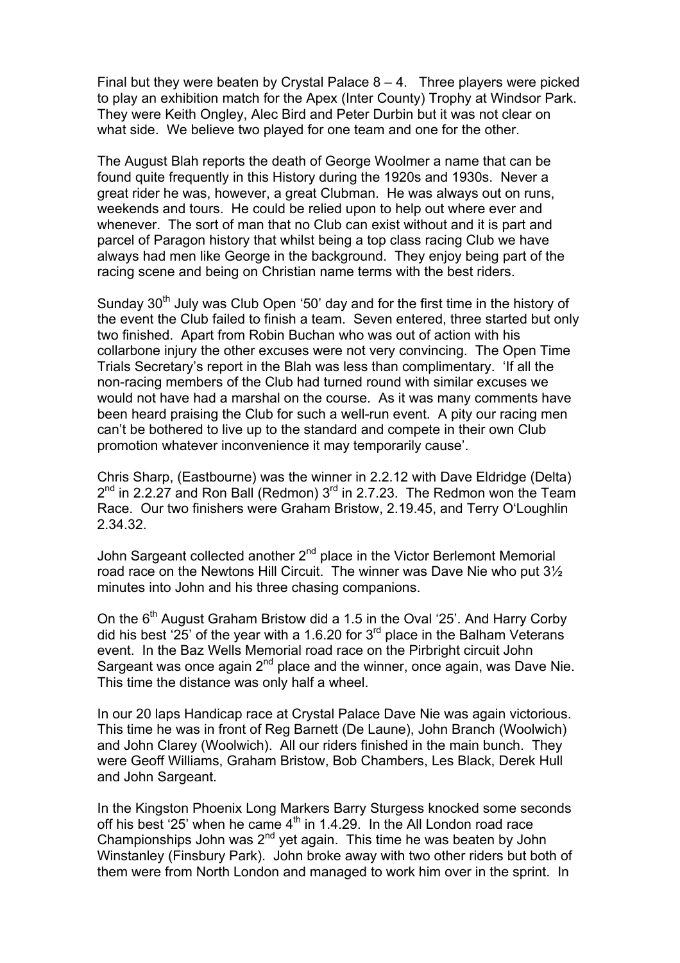Final but they were beaten by Crystal Palace  $8 - 4$ . Three players were picked to play an exhibition match for the Apex (Inter County) Trophy at Windsor Park. They were Keith Ongley, Alec Bird and Peter Durbin but it was not clear on what side. We believe two played for one team and one for the other.

The August Blah reports the death of George Woolmer a name that can be found quite frequently in this History during the 1920s and 1930s. Never a great rider he was, however, a great Clubman. He was always out on runs, weekends and tours. He could be relied upon to help out where ever and whenever. The sort of man that no Club can exist without and it is part and parcel of Paragon history that whilst being a top class racing Club we have always had men like George in the background. They enjoy being part of the racing scene and being on Christian name terms with the best riders.

Sunday  $30<sup>th</sup>$  July was Club Open '50' day and for the first time in the history of the event the Club failed to finish a team. Seven entered, three started but only two finished. Apart from Robin Buchan who was out of action with his collarbone injury the other excuses were not very convincing. The Open Time Trials Secretary's report in the Blah was less than complimentary. 'If all the non-racing members of the Club had turned round with similar excuses we would not have had a marshal on the course. As it was many comments have been heard praising the Club for such a well-run event. A pity our racing men can't be bothered to live up to the standard and compete in their own Club promotion whatever inconvenience it may temporarily cause'.

Chris Sharp, (Eastbourne) was the winner in 2.2.12 with Dave Eldridge (Delta)  $2<sup>nd</sup>$  in 2.2.27 and Ron Ball (Redmon)  $3<sup>rd</sup>$  in 2.7.23. The Redmon won the Team Race. Our two finishers were Graham Bristow, 2.19.45, and Terry O'Loughlin 2.34.32.

John Sargeant collected another  $2^{nd}$  place in the Victor Berlemont Memorial road race on the Newtons Hill Circuit. The winner was Dave Nie who put 3½ minutes into John and his three chasing companions.

On the  $6<sup>th</sup>$  August Graham Bristow did a 1.5 in the Oval '25'. And Harry Corby did his best '25' of the year with a 1.6.20 for  $3<sup>rd</sup>$  place in the Balham Veterans event. In the Baz Wells Memorial road race on the Pirbright circuit John Sargeant was once again  $2^{nd}$  place and the winner, once again, was Dave Nie. This time the distance was only half a wheel.

In our 20 laps Handicap race at Crystal Palace Dave Nie was again victorious. This time he was in front of Reg Barnett (De Laune), John Branch (Woolwich) and John Clarey (Woolwich). All our riders finished in the main bunch. They were Geoff Williams, Graham Bristow, Bob Chambers, Les Black, Derek Hull and John Sargeant.

In the Kingston Phoenix Long Markers Barry Sturgess knocked some seconds off his best '25' when he came  $4<sup>th</sup>$  in 1.4.29. In the All London road race Championships John was  $2^{nd}$  yet again. This time he was beaten by John Winstanley (Finsbury Park). John broke away with two other riders but both of them were from North London and managed to work him over in the sprint. In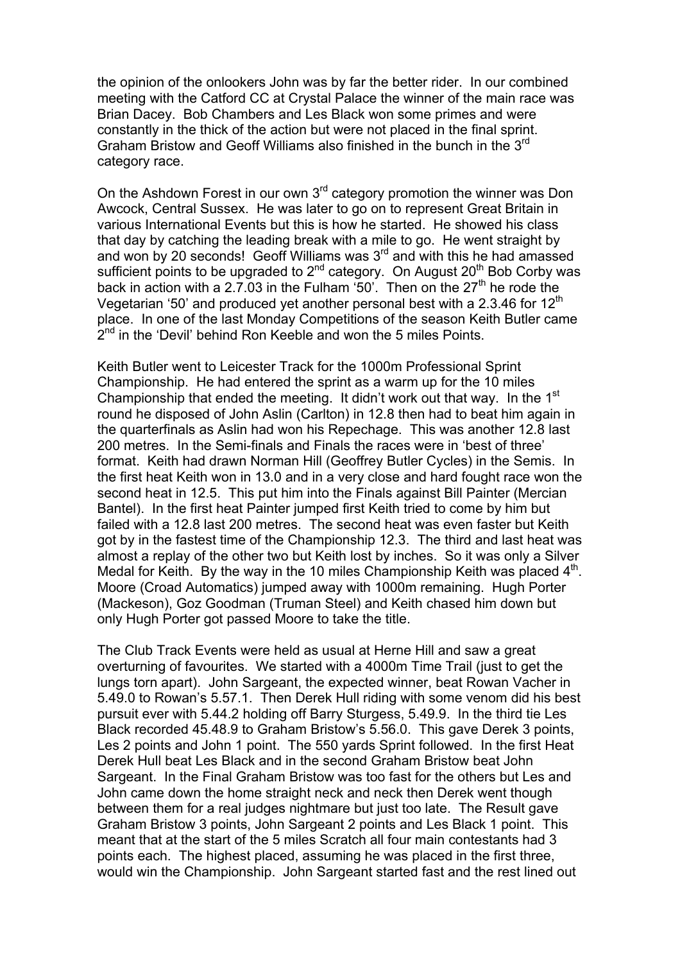the opinion of the onlookers John was by far the better rider. In our combined meeting with the Catford CC at Crystal Palace the winner of the main race was Brian Dacey. Bob Chambers and Les Black won some primes and were constantly in the thick of the action but were not placed in the final sprint. Graham Bristow and Geoff Williams also finished in the bunch in the 3<sup>rd</sup> category race.

On the Ashdown Forest in our own 3<sup>rd</sup> category promotion the winner was Don Awcock, Central Sussex. He was later to go on to represent Great Britain in various International Events but this is how he started. He showed his class that day by catching the leading break with a mile to go. He went straight by and won by 20 seconds! Geoff Williams was 3<sup>rd</sup> and with this he had amassed sufficient points to be upgraded to  $2^{nd}$  category. On August  $20^{th}$  Bob Corby was back in action with a 2.7.03 in the Fulham '50'. Then on the  $27<sup>th</sup>$  he rode the Vegetarian '50' and produced yet another personal best with a 2.3.46 for 12<sup>th</sup> place. In one of the last Monday Competitions of the season Keith Butler came  $2<sup>nd</sup>$  in the 'Devil' behind Ron Keeble and won the 5 miles Points.

Keith Butler went to Leicester Track for the 1000m Professional Sprint Championship. He had entered the sprint as a warm up for the 10 miles Championship that ended the meeting. It didn't work out that way. In the 1<sup>st</sup> round he disposed of John Aslin (Carlton) in 12.8 then had to beat him again in the quarterfinals as Aslin had won his Repechage. This was another 12.8 last 200 metres. In the Semi-finals and Finals the races were in 'best of three' format. Keith had drawn Norman Hill (Geoffrey Butler Cycles) in the Semis. In the first heat Keith won in 13.0 and in a very close and hard fought race won the second heat in 12.5. This put him into the Finals against Bill Painter (Mercian Bantel). In the first heat Painter jumped first Keith tried to come by him but failed with a 12.8 last 200 metres. The second heat was even faster but Keith got by in the fastest time of the Championship 12.3. The third and last heat was almost a replay of the other two but Keith lost by inches. So it was only a Silver Medal for Keith. By the way in the 10 miles Championship Keith was placed  $4<sup>th</sup>$ . Moore (Croad Automatics) jumped away with 1000m remaining. Hugh Porter (Mackeson), Goz Goodman (Truman Steel) and Keith chased him down but only Hugh Porter got passed Moore to take the title.

The Club Track Events were held as usual at Herne Hill and saw a great overturning of favourites. We started with a 4000m Time Trail (just to get the lungs torn apart). John Sargeant, the expected winner, beat Rowan Vacher in 5.49.0 to Rowan's 5.57.1. Then Derek Hull riding with some venom did his best pursuit ever with 5.44.2 holding off Barry Sturgess, 5.49.9. In the third tie Les Black recorded 45.48.9 to Graham Bristow's 5.56.0. This gave Derek 3 points, Les 2 points and John 1 point. The 550 yards Sprint followed. In the first Heat Derek Hull beat Les Black and in the second Graham Bristow beat John Sargeant. In the Final Graham Bristow was too fast for the others but Les and John came down the home straight neck and neck then Derek went though between them for a real judges nightmare but just too late. The Result gave Graham Bristow 3 points, John Sargeant 2 points and Les Black 1 point. This meant that at the start of the 5 miles Scratch all four main contestants had 3 points each. The highest placed, assuming he was placed in the first three, would win the Championship. John Sargeant started fast and the rest lined out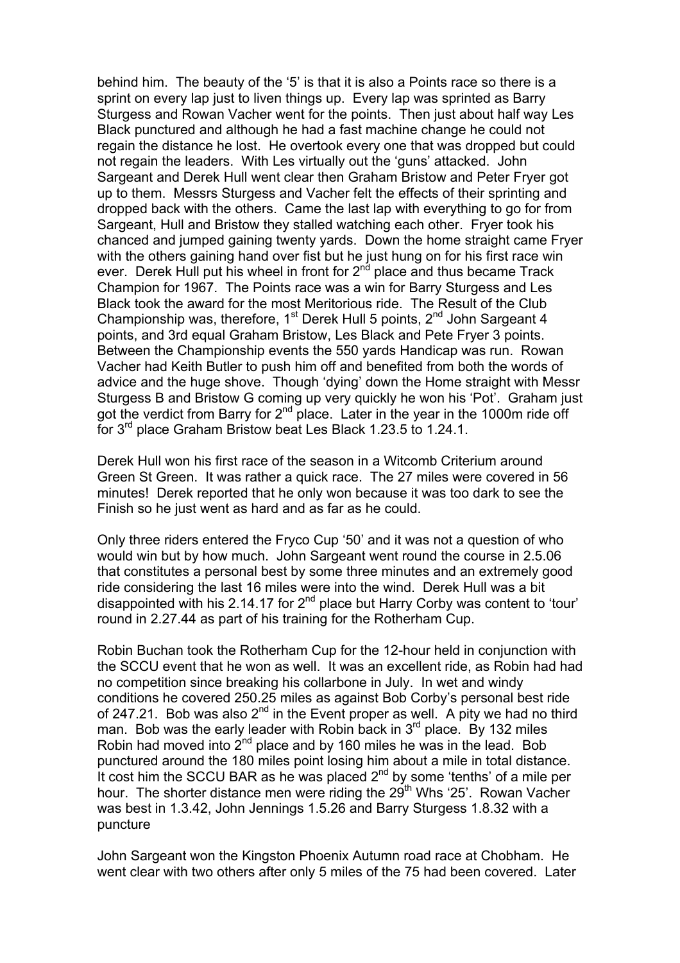behind him. The beauty of the '5' is that it is also a Points race so there is a sprint on every lap just to liven things up. Every lap was sprinted as Barry Sturgess and Rowan Vacher went for the points. Then just about half way Les Black punctured and although he had a fast machine change he could not regain the distance he lost. He overtook every one that was dropped but could not regain the leaders. With Les virtually out the 'guns' attacked. John Sargeant and Derek Hull went clear then Graham Bristow and Peter Fryer got up to them. Messrs Sturgess and Vacher felt the effects of their sprinting and dropped back with the others. Came the last lap with everything to go for from Sargeant, Hull and Bristow they stalled watching each other. Fryer took his chanced and jumped gaining twenty yards. Down the home straight came Fryer with the others gaining hand over fist but he just hung on for his first race win ever. Derek Hull put his wheel in front for 2<sup>nd</sup> place and thus became Track Champion for 1967. The Points race was a win for Barry Sturgess and Les Black took the award for the most Meritorious ride. The Result of the Club Championship was, therefore,  $1<sup>st</sup>$  Derek Hull 5 points,  $2<sup>nd</sup>$  John Sargeant 4 points, and 3rd equal Graham Bristow, Les Black and Pete Fryer 3 points. Between the Championship events the 550 yards Handicap was run. Rowan Vacher had Keith Butler to push him off and benefited from both the words of advice and the huge shove. Though 'dying' down the Home straight with Messr Sturgess B and Bristow G coming up very quickly he won his 'Pot'. Graham just got the verdict from Barry for  $2^{nd}$  place. Later in the year in the 1000m ride off for 3rd place Graham Bristow beat Les Black 1.23.5 to 1.24.1.

Derek Hull won his first race of the season in a Witcomb Criterium around Green St Green. It was rather a quick race. The 27 miles were covered in 56 minutes! Derek reported that he only won because it was too dark to see the Finish so he just went as hard and as far as he could.

Only three riders entered the Fryco Cup '50' and it was not a question of who would win but by how much. John Sargeant went round the course in 2.5.06 that constitutes a personal best by some three minutes and an extremely good ride considering the last 16 miles were into the wind. Derek Hull was a bit disappointed with his 2.14.17 for  $2^{nd}$  place but Harry Corby was content to 'tour' round in 2.27.44 as part of his training for the Rotherham Cup.

Robin Buchan took the Rotherham Cup for the 12-hour held in conjunction with the SCCU event that he won as well. It was an excellent ride, as Robin had had no competition since breaking his collarbone in July. In wet and windy conditions he covered 250.25 miles as against Bob Corby's personal best ride of 247.21. Bob was also  $2^{nd}$  in the Event proper as well. A pity we had no third man. Bob was the early leader with Robin back in  $3<sup>rd</sup>$  place. By 132 miles Robin had moved into  $2<sup>nd</sup>$  place and by 160 miles he was in the lead. Bob punctured around the 180 miles point losing him about a mile in total distance. It cost him the SCCU BAR as he was placed  $2^{nd}$  by some 'tenths' of a mile per hour. The shorter distance men were riding the  $29<sup>th</sup>$  Whs '25'. Rowan Vacher was best in 1.3.42, John Jennings 1.5.26 and Barry Sturgess 1.8.32 with a puncture

John Sargeant won the Kingston Phoenix Autumn road race at Chobham. He went clear with two others after only 5 miles of the 75 had been covered. Later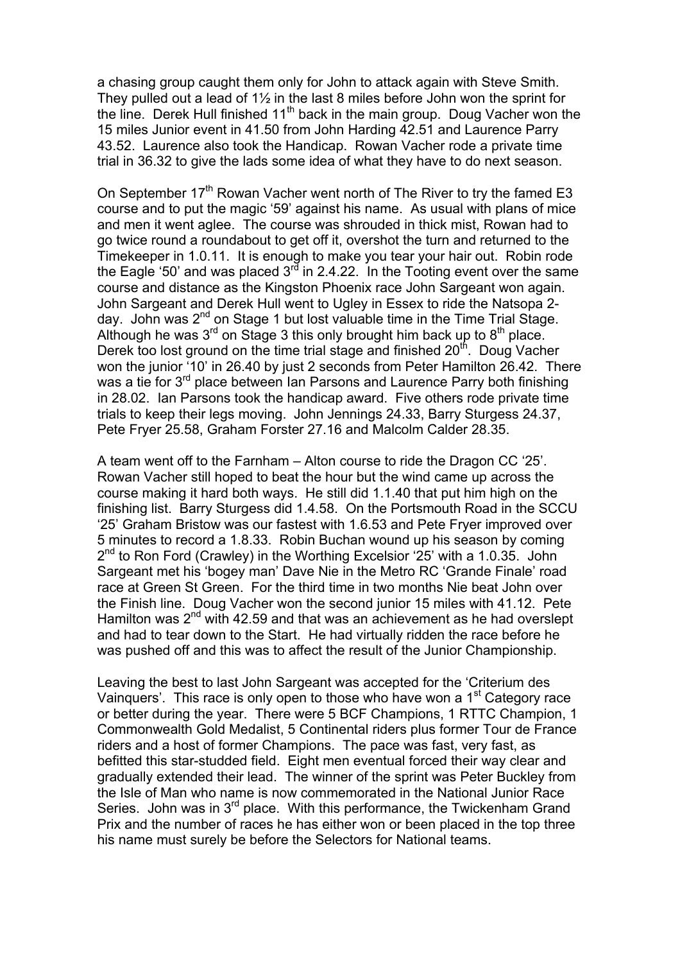a chasing group caught them only for John to attack again with Steve Smith. They pulled out a lead of 1½ in the last 8 miles before John won the sprint for the line. Derek Hull finished 11<sup>th</sup> back in the main group. Doug Vacher won the 15 miles Junior event in 41.50 from John Harding 42.51 and Laurence Parry 43.52. Laurence also took the Handicap. Rowan Vacher rode a private time trial in 36.32 to give the lads some idea of what they have to do next season.

On September 17<sup>th</sup> Rowan Vacher went north of The River to try the famed E3 course and to put the magic '59' against his name. As usual with plans of mice and men it went aglee. The course was shrouded in thick mist, Rowan had to go twice round a roundabout to get off it, overshot the turn and returned to the Timekeeper in 1.0.11. It is enough to make you tear your hair out. Robin rode the Eagle '50' and was placed  $3^{rd}$  in 2.4.22. In the Tooting event over the same course and distance as the Kingston Phoenix race John Sargeant won again. John Sargeant and Derek Hull went to Ugley in Essex to ride the Natsopa 2 day. John was  $2^{nd}$  on Stage 1 but lost valuable time in the Time Trial Stage. Although he was  $3^{rd}$  on Stage 3 this only brought him back up to  $8^{th}$  place. Derek too lost ground on the time trial stage and finished  $20<sup>th</sup>$ . Doug Vacher won the junior '10' in 26.40 by just 2 seconds from Peter Hamilton 26.42. There was a tie for 3<sup>rd</sup> place between Ian Parsons and Laurence Parry both finishing in 28.02. Ian Parsons took the handicap award. Five others rode private time trials to keep their legs moving. John Jennings 24.33, Barry Sturgess 24.37, Pete Fryer 25.58, Graham Forster 27.16 and Malcolm Calder 28.35.

A team went off to the Farnham – Alton course to ride the Dragon CC '25'. Rowan Vacher still hoped to beat the hour but the wind came up across the course making it hard both ways. He still did 1.1.40 that put him high on the finishing list. Barry Sturgess did 1.4.58. On the Portsmouth Road in the SCCU '25' Graham Bristow was our fastest with 1.6.53 and Pete Fryer improved over 5 minutes to record a 1.8.33. Robin Buchan wound up his season by coming  $2<sup>nd</sup>$  to Ron Ford (Crawley) in the Worthing Excelsior '25' with a 1.0.35. John Sargeant met his 'bogey man' Dave Nie in the Metro RC 'Grande Finale' road race at Green St Green. For the third time in two months Nie beat John over the Finish line. Doug Vacher won the second junior 15 miles with 41.12. Pete Hamilton was 2<sup>nd</sup> with 42.59 and that was an achievement as he had overslept and had to tear down to the Start. He had virtually ridden the race before he was pushed off and this was to affect the result of the Junior Championship.

Leaving the best to last John Sargeant was accepted for the 'Criterium des Vainquers'. This race is only open to those who have won a 1<sup>st</sup> Category race or better during the year. There were 5 BCF Champions, 1 RTTC Champion, 1 Commonwealth Gold Medalist, 5 Continental riders plus former Tour de France riders and a host of former Champions. The pace was fast, very fast, as befitted this star-studded field. Eight men eventual forced their way clear and gradually extended their lead. The winner of the sprint was Peter Buckley from the Isle of Man who name is now commemorated in the National Junior Race Series. John was in  $3^{rd}$  place. With this performance, the Twickenham Grand Prix and the number of races he has either won or been placed in the top three his name must surely be before the Selectors for National teams.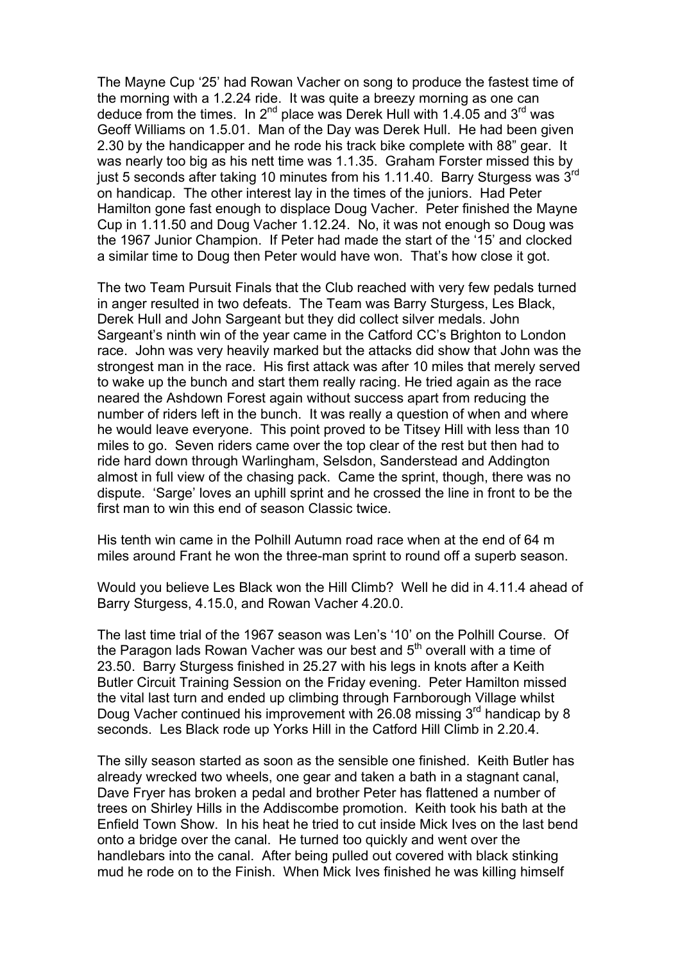The Mayne Cup '25' had Rowan Vacher on song to produce the fastest time of the morning with a 1.2.24 ride. It was quite a breezy morning as one can deduce from the times. In 2<sup>nd</sup> place was Derek Hull with 1.4.05 and 3<sup>rd</sup> was Geoff Williams on 1.5.01. Man of the Day was Derek Hull. He had been given 2.30 by the handicapper and he rode his track bike complete with 88" gear. It was nearly too big as his nett time was 1.1.35. Graham Forster missed this by just 5 seconds after taking 10 minutes from his 1.11.40. Barry Sturgess was 3<sup>rd</sup> on handicap. The other interest lay in the times of the juniors. Had Peter Hamilton gone fast enough to displace Doug Vacher. Peter finished the Mayne Cup in 1.11.50 and Doug Vacher 1.12.24. No, it was not enough so Doug was the 1967 Junior Champion. If Peter had made the start of the '15' and clocked a similar time to Doug then Peter would have won. That's how close it got.

The two Team Pursuit Finals that the Club reached with very few pedals turned in anger resulted in two defeats. The Team was Barry Sturgess, Les Black, Derek Hull and John Sargeant but they did collect silver medals. John Sargeant's ninth win of the year came in the Catford CC's Brighton to London race. John was very heavily marked but the attacks did show that John was the strongest man in the race. His first attack was after 10 miles that merely served to wake up the bunch and start them really racing. He tried again as the race neared the Ashdown Forest again without success apart from reducing the number of riders left in the bunch. It was really a question of when and where he would leave everyone. This point proved to be Titsey Hill with less than 10 miles to go. Seven riders came over the top clear of the rest but then had to ride hard down through Warlingham, Selsdon, Sanderstead and Addington almost in full view of the chasing pack. Came the sprint, though, there was no dispute. 'Sarge' loves an uphill sprint and he crossed the line in front to be the first man to win this end of season Classic twice.

His tenth win came in the Polhill Autumn road race when at the end of 64 m miles around Frant he won the three-man sprint to round off a superb season.

Would you believe Les Black won the Hill Climb? Well he did in 4.11.4 ahead of Barry Sturgess, 4.15.0, and Rowan Vacher 4.20.0.

The last time trial of the 1967 season was Len's '10' on the Polhill Course. Of the Paragon lads Rowan Vacher was our best and  $5<sup>th</sup>$  overall with a time of 23.50. Barry Sturgess finished in 25.27 with his legs in knots after a Keith Butler Circuit Training Session on the Friday evening. Peter Hamilton missed the vital last turn and ended up climbing through Farnborough Village whilst Doug Vacher continued his improvement with 26.08 missing  $3<sup>rd</sup>$  handicap by 8 seconds. Les Black rode up Yorks Hill in the Catford Hill Climb in 2.20.4.

The silly season started as soon as the sensible one finished. Keith Butler has already wrecked two wheels, one gear and taken a bath in a stagnant canal, Dave Fryer has broken a pedal and brother Peter has flattened a number of trees on Shirley Hills in the Addiscombe promotion. Keith took his bath at the Enfield Town Show. In his heat he tried to cut inside Mick Ives on the last bend onto a bridge over the canal. He turned too quickly and went over the handlebars into the canal. After being pulled out covered with black stinking mud he rode on to the Finish. When Mick Ives finished he was killing himself